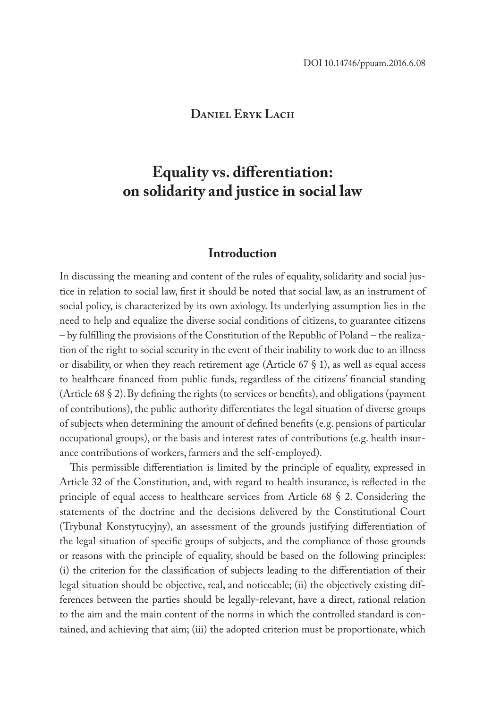## **Daniel Eryk Lach**

# **Equality vs. differentiation: on solidarity and justice in social law**

## **Introduction**

In discussing the meaning and content of the rules of equality, solidarity and social justice in relation to social law, first it should be noted that social law, as an instrument of social policy, is characterized by its own axiology. Its underlying assumption lies in the need to help and equalize the diverse social conditions of citizens, to guarantee citizens – by fulfilling the provisions of the Constitution of the Republic of Poland – the realization of the right to social security in the event of their inability to work due to an illness or disability, or when they reach retirement age (Article  $67 \text{ }\frac{6}{3}$ ), as well as equal access to healthcare financed from public funds, regardless of the citizens' financial standing (Article 68 § 2). By defining the rights (to services or benefits), and obligations (payment of contributions), the public authority differentiates the legal situation of diverse groups of subjects when determining the amount of defined benefits (e.g. pensions of particular occupational groups), or the basis and interest rates of contributions (e.g. health insurance contributions of workers, farmers and the self-employed).

This permissible differentiation is limited by the principle of equality, expressed in Article 32 of the Constitution, and, with regard to health insurance, is reflected in the principle of equal access to healthcare services from Article 68 § 2. Considering the statements of the doctrine and the decisions delivered by the Constitutional Court (Trybunał Konstytucyjny), an assessment of the grounds justifying differentiation of the legal situation of specific groups of subjects, and the compliance of those grounds or reasons with the principle of equality, should be based on the following principles: (i) the criterion for the classification of subjects leading to the differentiation of their legal situation should be objective, real, and noticeable; (ii) the objectively existing differences between the parties should be legally-relevant, have a direct, rational relation to the aim and the main content of the norms in which the controlled standard is contained, and achieving that aim; (iii) the adopted criterion must be proportionate, which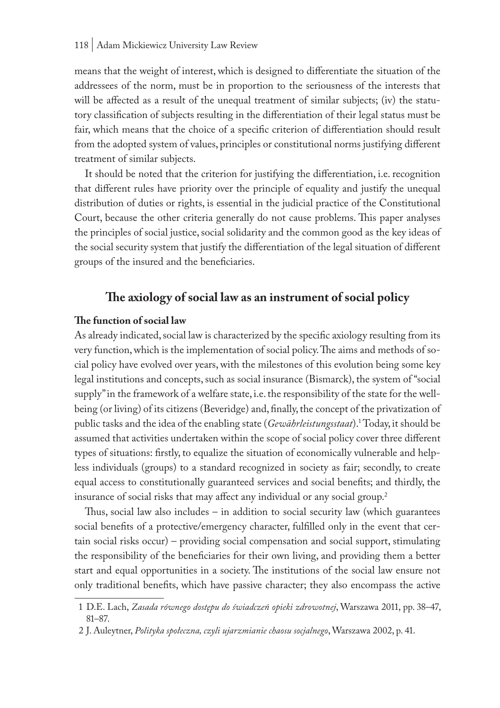means that the weight of interest, which is designed to differentiate the situation of the addressees of the norm, must be in proportion to the seriousness of the interests that will be affected as a result of the unequal treatment of similar subjects; (iv) the statutory classification of subjects resulting in the differentiation of their legal status must be fair, which means that the choice of a specific criterion of differentiation should result from the adopted system of values, principles or constitutional norms justifying different treatment of similar subjects.

It should be noted that the criterion for justifying the differentiation, i.e. recognition that different rules have priority over the principle of equality and justify the unequal distribution of duties or rights, is essential in the judicial practice of the Constitutional Court, because the other criteria generally do not cause problems. This paper analyses the principles of social justice, social solidarity and the common good as the key ideas of the social security system that justify the differentiation of the legal situation of different groups of the insured and the beneficiaries.

# **The axiology of social law as an instrument of social policy**

#### **The function of social law**

As already indicated, social law is characterized by the specific axiology resulting from its very function, which is the implementation of social policy. The aims and methods of social policy have evolved over years, with the milestones of this evolution being some key legal institutions and concepts, such as social insurance (Bismarck), the system of "social supply" in the framework of a welfare state, i.e. the responsibility of the state for the wellbeing (or living) of its citizens (Beveridge) and, finally, the concept of the privatization of public tasks and the idea of the enabling state (*Gewährleistungsstaat*).1 Today, it should be assumed that activities undertaken within the scope of social policy cover three different types of situations: firstly, to equalize the situation of economically vulnerable and helpless individuals (groups) to a standard recognized in society as fair; secondly, to create equal access to constitutionally guaranteed services and social benefits; and thirdly, the insurance of social risks that may affect any individual or any social group.2

Thus, social law also includes – in addition to social security law (which guarantees social benefits of a protective/emergency character, fulfilled only in the event that certain social risks occur) – providing social compensation and social support, stimulating the responsibility of the beneficiaries for their own living, and providing them a better start and equal opportunities in a society. The institutions of the social law ensure not only traditional benefits, which have passive character; they also encompass the active

<sup>1</sup> D.E. Lach, *Zasada równego dostępu do świadczeń opieki zdrowotnej*, Warszawa 2011, pp. 38–47, 81–87.

<sup>2</sup> J. Auleytner, *Polityka społeczna, czyli ujarzmianie chaosu socjalnego*, Warszawa 2002, p. 41.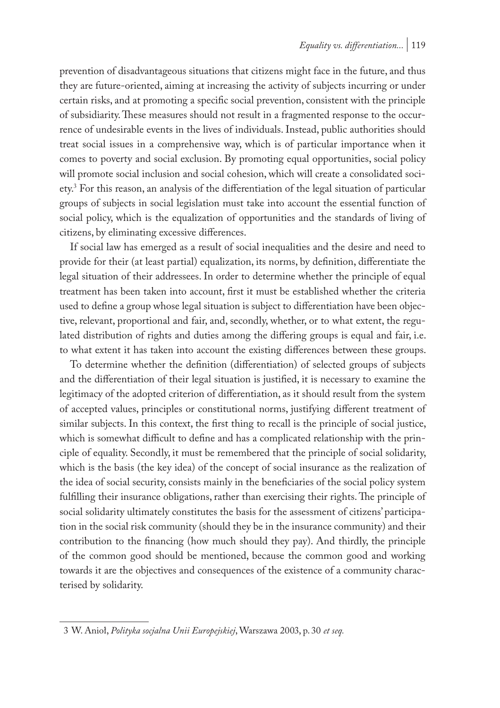prevention of disadvantageous situations that citizens might face in the future, and thus they are future-oriented, aiming at increasing the activity of subjects incurring or under certain risks, and at promoting a specific social prevention, consistent with the principle of subsidiarity. These measures should not result in a fragmented response to the occurrence of undesirable events in the lives of individuals. Instead, public authorities should treat social issues in a comprehensive way, which is of particular importance when it comes to poverty and social exclusion. By promoting equal opportunities, social policy will promote social inclusion and social cohesion, which will create a consolidated society.3 For this reason, an analysis of the differentiation of the legal situation of particular groups of subjects in social legislation must take into account the essential function of social policy, which is the equalization of opportunities and the standards of living of citizens, by eliminating excessive differences.

If social law has emerged as a result of social inequalities and the desire and need to provide for their (at least partial) equalization, its norms, by definition, differentiate the legal situation of their addressees. In order to determine whether the principle of equal treatment has been taken into account, first it must be established whether the criteria used to define a group whose legal situation is subject to differentiation have been objective, relevant, proportional and fair, and, secondly, whether, or to what extent, the regulated distribution of rights and duties among the differing groups is equal and fair, i.e. to what extent it has taken into account the existing differences between these groups.

To determine whether the definition (differentiation) of selected groups of subjects and the differentiation of their legal situation is justified, it is necessary to examine the legitimacy of the adopted criterion of differentiation, as it should result from the system of accepted values, principles or constitutional norms, justifying different treatment of similar subjects. In this context, the first thing to recall is the principle of social justice, which is somewhat difficult to define and has a complicated relationship with the principle of equality. Secondly, it must be remembered that the principle of social solidarity, which is the basis (the key idea) of the concept of social insurance as the realization of the idea of social security, consists mainly in the beneficiaries of the social policy system fulfilling their insurance obligations, rather than exercising their rights. The principle of social solidarity ultimately constitutes the basis for the assessment of citizens' participation in the social risk community (should they be in the insurance community) and their contribution to the financing (how much should they pay). And thirdly, the principle of the common good should be mentioned, because the common good and working towards it are the objectives and consequences of the existence of a community characterised by solidarity.

<sup>3</sup> W. Anioł, *Polityka socjalna Unii Europejskiej*, Warszawa 2003, p. 30 *et seq.*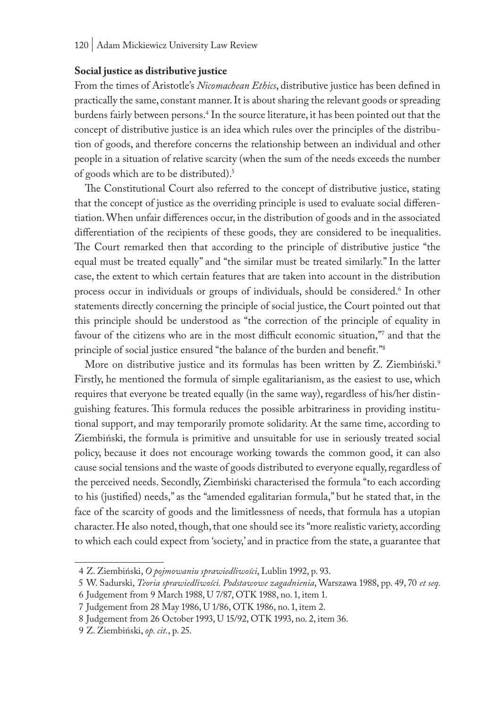#### **Social justice as distributive justice**

From the times of Aristotle's *Nicomachean Ethics*, distributive justice has been defined in practically the same, constant manner. It is about sharing the relevant goods or spreading burdens fairly between persons.4 In the source literature, it has been pointed out that the concept of distributive justice is an idea which rules over the principles of the distribution of goods, and therefore concerns the relationship between an individual and other people in a situation of relative scarcity (when the sum of the needs exceeds the number of goods which are to be distributed).5

The Constitutional Court also referred to the concept of distributive justice, stating that the concept of justice as the overriding principle is used to evaluate social differentiation. When unfair differences occur, in the distribution of goods and in the associated differentiation of the recipients of these goods, they are considered to be inequalities. The Court remarked then that according to the principle of distributive justice "the equal must be treated equally" and "the similar must be treated similarly." In the latter case, the extent to which certain features that are taken into account in the distribution process occur in individuals or groups of individuals, should be considered.6 In other statements directly concerning the principle of social justice, the Court pointed out that this principle should be understood as "the correction of the principle of equality in favour of the citizens who are in the most difficult economic situation," and that the principle of social justice ensured "the balance of the burden and benefit."8

More on distributive justice and its formulas has been written by Z. Ziembiński.<sup>9</sup> Firstly, he mentioned the formula of simple egalitarianism, as the easiest to use, which requires that everyone be treated equally (in the same way), regardless of his/her distinguishing features. This formula reduces the possible arbitrariness in providing institutional support, and may temporarily promote solidarity. At the same time, according to Ziembiński, the formula is primitive and unsuitable for use in seriously treated social policy, because it does not encourage working towards the common good, it can also cause social tensions and the waste of goods distributed to everyone equally, regardless of the perceived needs. Secondly, Ziembiński characterised the formula "to each according to his (justified) needs," as the "amended egalitarian formula," but he stated that, in the face of the scarcity of goods and the limitlessness of needs, that formula has a utopian character. He also noted, though, that one should see its "more realistic variety, according to which each could expect from 'society,' and in practice from the state, a guarantee that

<sup>4</sup> Z. Ziembiński, *O pojmowaniu sprawiedliwości*, Lublin 1992, p. 93.

<sup>5</sup> W. Sadurski, *Teoria sprawiedliwości. Podstawowe zagadnienia*, Warszawa 1988, pp. 49, 70 *et seq.*

<sup>6</sup> Judgement from 9 March 1988, U 7/87, OTK 1988, no. 1, item 1.

<sup>7</sup> Judgement from 28 May 1986, U 1/86, OTK 1986, no. 1, item 2.

<sup>8</sup> Judgement from 26 October 1993, U 15/92, OTK 1993, no. 2, item 36.

<sup>9</sup> Z. Ziembiński, *op. cit.*, p. 25.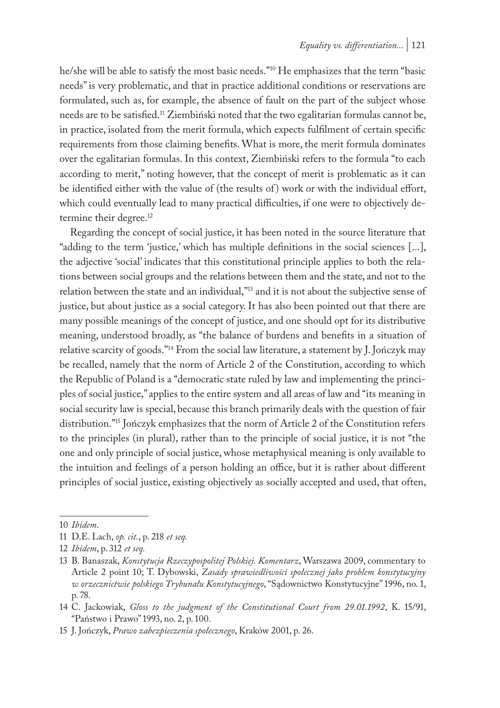he/she will be able to satisfy the most basic needs."10 He emphasizes that the term "basic needs" is very problematic, and that in practice additional conditions or reservations are formulated, such as, for example, the absence of fault on the part of the subject whose needs are to be satisfied.11 Ziembiński noted that the two egalitarian formulas cannot be, in practice, isolated from the merit formula, which expects fulfilment of certain specific requirements from those claiming benefits. What is more, the merit formula dominates over the egalitarian formulas. In this context, Ziembiński refers to the formula "to each according to merit," noting however, that the concept of merit is problematic as it can be identified either with the value of (the results of ) work or with the individual effort, which could eventually lead to many practical difficulties, if one were to objectively determine their degree.<sup>12</sup>

Regarding the concept of social justice, it has been noted in the source literature that "adding to the term 'justice,' which has multiple definitions in the social sciences [...], the adjective 'social' indicates that this constitutional principle applies to both the relations between social groups and the relations between them and the state, and not to the relation between the state and an individual,"13 and it is not about the subjective sense of justice, but about justice as a social category. It has also been pointed out that there are many possible meanings of the concept of justice, and one should opt for its distributive meaning, understood broadly, as "the balance of burdens and benefits in a situation of relative scarcity of goods."14 From the social law literature, a statement by J. Jończyk may be recalled, namely that the norm of Article 2 of the Constitution, according to which the Republic of Poland is a "democratic state ruled by law and implementing the principles of social justice," applies to the entire system and all areas of law and "its meaning in social security law is special, because this branch primarily deals with the question of fair distribution."15 Jończyk emphasizes that the norm of Article 2 of the Constitution refers to the principles (in plural), rather than to the principle of social justice, it is not "the one and only principle of social justice, whose metaphysical meaning is only available to the intuition and feelings of a person holding an office, but it is rather about different principles of social justice, existing objectively as socially accepted and used, that often,

<sup>10</sup> *Ibidem*.

<sup>11</sup> D.E. Lach, *op. cit.*, p. 218 *et seq.*

<sup>12</sup> *Ibidem*, p. 312 *et seq.*

<sup>13</sup> B. Banaszak, *Konstytucja Rzeczypospolitej Polskiej. Komentarz*, Warszawa 2009, commentary to Article 2 point 10; T. Dybowski, *Zasady sprawiedliwości społecznej jako problem konstytucyjny w orzecznictwie polskiego Trybunału Konstytucyjnego*, "Sądownictwo Konstytucyjne" 1996, no. 1, p. 78.

<sup>14</sup> C. Jackowiak, *Gloss to the judgment of the Constitutional Court from 29.01.1992*, K. 15/91, "Państwo i Prawo" 1993, no. 2, p. 100.

<sup>15</sup> J. Jończyk, *Prawo zabezpieczenia społecznego*, Kraków 2001, p. 26.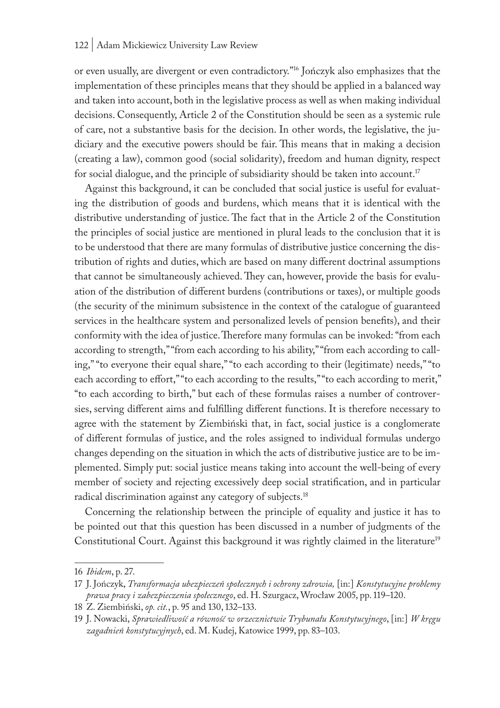or even usually, are divergent or even contradictory."16 Jończyk also emphasizes that the implementation of these principles means that they should be applied in a balanced way and taken into account, both in the legislative process as well as when making individual decisions. Consequently, Article 2 of the Constitution should be seen as a systemic rule of care, not a substantive basis for the decision. In other words, the legislative, the judiciary and the executive powers should be fair. This means that in making a decision (creating a law), common good (social solidarity), freedom and human dignity, respect for social dialogue, and the principle of subsidiarity should be taken into account.<sup>17</sup>

Against this background, it can be concluded that social justice is useful for evaluating the distribution of goods and burdens, which means that it is identical with the distributive understanding of justice. The fact that in the Article 2 of the Constitution the principles of social justice are mentioned in plural leads to the conclusion that it is to be understood that there are many formulas of distributive justice concerning the distribution of rights and duties, which are based on many different doctrinal assumptions that cannot be simultaneously achieved. They can, however, provide the basis for evaluation of the distribution of different burdens (contributions or taxes), or multiple goods (the security of the minimum subsistence in the context of the catalogue of guaranteed services in the healthcare system and personalized levels of pension benefits), and their conformity with the idea of justice. Therefore many formulas can be invoked: "from each according to strength," "from each according to his ability," "from each according to calling," "to everyone their equal share," "to each according to their (legitimate) needs," "to each according to effort," "to each according to the results," "to each according to merit," "to each according to birth," but each of these formulas raises a number of controversies, serving different aims and fulfilling different functions. It is therefore necessary to agree with the statement by Ziembiński that, in fact, social justice is a conglomerate of different formulas of justice, and the roles assigned to individual formulas undergo changes depending on the situation in which the acts of distributive justice are to be implemented. Simply put: social justice means taking into account the well-being of every member of society and rejecting excessively deep social stratification, and in particular radical discrimination against any category of subjects.18

Concerning the relationship between the principle of equality and justice it has to be pointed out that this question has been discussed in a number of judgments of the Constitutional Court. Against this background it was rightly claimed in the literature<sup>19</sup>

<sup>16</sup> *Ibidem*, p. 27.

<sup>17</sup> J. Jończyk, *Transformacja ubezpieczeń społecznych i ochrony zdrowia,* [in:] *Konstytucyjne problemy prawa pracy i zabezpieczenia społecznego*, ed. H. Szurgacz, Wrocław 2005, pp. 119–120.

<sup>18</sup> Z. Ziembiński, *op. cit.*, p. 95 and 130, 132–133.

<sup>19</sup> J. Nowacki, *Sprawiedliwość a równość w orzecznictwie Trybunału Konstytucyjnego*, [in:] *W kręgu zagadnień konstytucyjnych*, ed. M. Kudej, Katowice 1999, pp. 83–103.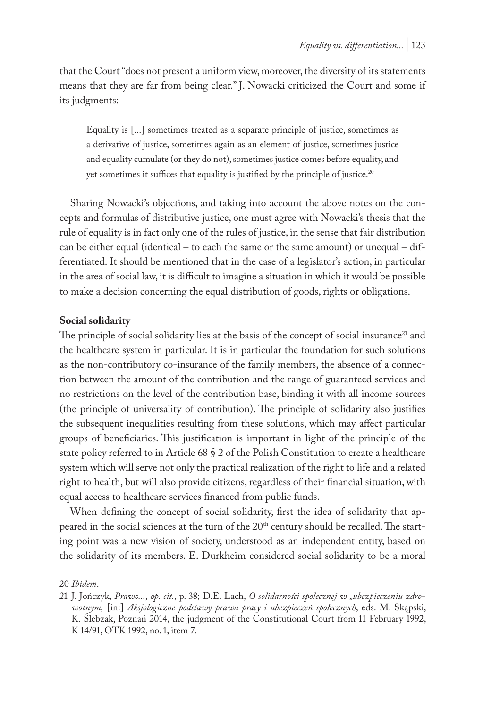that the Court "does not present a uniform view, moreover, the diversity of its statements means that they are far from being clear." J. Nowacki criticized the Court and some if its judgments:

Equality is [...] sometimes treated as a separate principle of justice, sometimes as a derivative of justice, sometimes again as an element of justice, sometimes justice and equality cumulate (or they do not), sometimes justice comes before equality, and yet sometimes it suffices that equality is justified by the principle of justice.<sup>20</sup>

Sharing Nowacki's objections, and taking into account the above notes on the concepts and formulas of distributive justice, one must agree with Nowacki's thesis that the rule of equality is in fact only one of the rules of justice, in the sense that fair distribution can be either equal (identical – to each the same or the same amount) or unequal – differentiated. It should be mentioned that in the case of a legislator's action, in particular in the area of social law, it is difficult to imagine a situation in which it would be possible to make a decision concerning the equal distribution of goods, rights or obligations.

### **Social solidarity**

The principle of social solidarity lies at the basis of the concept of social insurance<sup>21</sup> and the healthcare system in particular. It is in particular the foundation for such solutions as the non-contributory co-insurance of the family members, the absence of a connection between the amount of the contribution and the range of guaranteed services and no restrictions on the level of the contribution base, binding it with all income sources (the principle of universality of contribution). The principle of solidarity also justifies the subsequent inequalities resulting from these solutions, which may affect particular groups of beneficiaries. This justification is important in light of the principle of the state policy referred to in Article 68 § 2 of the Polish Constitution to create a healthcare system which will serve not only the practical realization of the right to life and a related right to health, but will also provide citizens, regardless of their financial situation, with equal access to healthcare services financed from public funds.

When defining the concept of social solidarity, first the idea of solidarity that appeared in the social sciences at the turn of the 20<sup>th</sup> century should be recalled. The starting point was a new vision of society, understood as an independent entity, based on the solidarity of its members. E. Durkheim considered social solidarity to be a moral

<sup>20</sup> *Ibidem*.

<sup>21</sup> J. Jończyk, *Prawo...*, *op. cit.*, p. 38; D.E. Lach, *O solidarności społecznej w "ubezpieczeniu zdrowotnym,* [in:] *Aksjologiczne podstawy prawa pracy i ubezpieczeń społecznych*, eds. M. Skąpski, K. Ślebzak, Poznań 2014, the judgment of the Constitutional Court from 11 February 1992, K 14/91, OTK 1992, no. 1, item 7.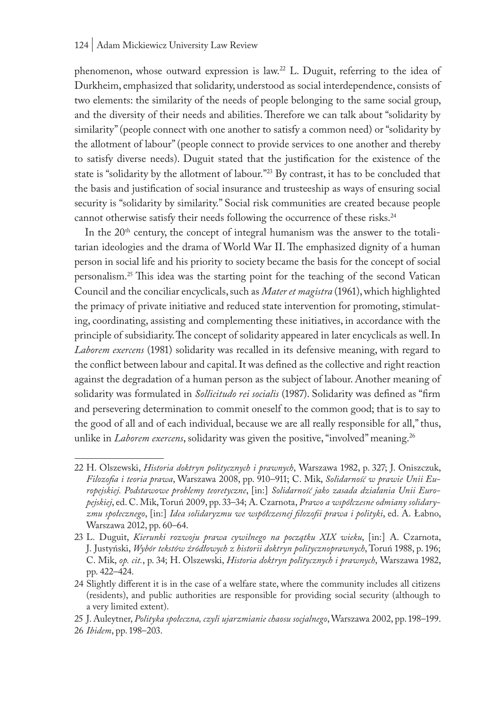phenomenon, whose outward expression is law.22 L. Duguit, referring to the idea of Durkheim, emphasized that solidarity, understood as social interdependence, consists of two elements: the similarity of the needs of people belonging to the same social group, and the diversity of their needs and abilities. Therefore we can talk about "solidarity by similarity" (people connect with one another to satisfy a common need) or "solidarity by the allotment of labour" (people connect to provide services to one another and thereby to satisfy diverse needs). Duguit stated that the justification for the existence of the state is "solidarity by the allotment of labour."<sup>23</sup> By contrast, it has to be concluded that the basis and justification of social insurance and trusteeship as ways of ensuring social security is "solidarity by similarity." Social risk communities are created because people cannot otherwise satisfy their needs following the occurrence of these risks.<sup>24</sup>

In the  $20<sup>th</sup>$  century, the concept of integral humanism was the answer to the totalitarian ideologies and the drama of World War II. The emphasized dignity of a human person in social life and his priority to society became the basis for the concept of social personalism.<sup>25</sup> This idea was the starting point for the teaching of the second Vatican Council and the conciliar encyclicals, such as *Mater et magistra* (1961), which highlighted the primacy of private initiative and reduced state intervention for promoting, stimulating, coordinating, assisting and complementing these initiatives, in accordance with the principle of subsidiarity. The concept of solidarity appeared in later encyclicals as well. In *Laborem exercens* (1981) solidarity was recalled in its defensive meaning, with regard to the conflict between labour and capital. It was defined as the collective and right reaction against the degradation of a human person as the subject of labour. Another meaning of solidarity was formulated in *Sollicitudo rei socialis* (1987). Solidarity was defined as "firm and persevering determination to commit oneself to the common good; that is to say to the good of all and of each individual, because we are all really responsible for all," thus, unlike in *Laborem exercens*, solidarity was given the positive, "involved" meaning.<sup>26</sup>

25 J. Auleytner, *Polityka społeczna, czyli ujarzmianie chaosu socjalnego*, Warszawa 2002, pp. 198–199. 26 *Ibidem*, pp. 198–203.

<sup>22</sup> H. Olszewski, *Historia doktryn politycznych i prawnych*, Warszawa 1982, p. 327; J. Oniszczuk, *Filozofia i teoria prawa*, Warszawa 2008, pp. 910–911; C. Mik, *Solidarność w prawie Unii Europejskiej. Podstawowe problemy teoretyczne*, [in:] *Solidarność jako zasada działania Unii Europejskiej*, ed. C. Mik, Toruń 2009, pp. 33–34; A. Czarnota, *Prawo a współczesne odmiany solidaryzmu społecznego*, [in:] *Idea solidaryzmu we współczesnej filozofii prawa i polityki*, ed. A. Łabno, Warszawa 2012, pp. 60–64.

<sup>23</sup> L. Duguit, *Kierunki rozwoju prawa cywilnego na początku XIX wieku*, [in:] A. Czarnota, J. Justyński, *Wybór tekstów źródłowych z historii doktryn politycznoprawnych*, Toruń 1988, p. 196; C. Mik, *op. cit.*, p. 34; H. Olszewski, *Historia doktryn politycznych i prawnych*, Warszawa 1982, pp. 422–424.

<sup>24</sup> Slightly different it is in the case of a welfare state, where the community includes all citizens (residents), and public authorities are responsible for providing social security (although to a very limited extent).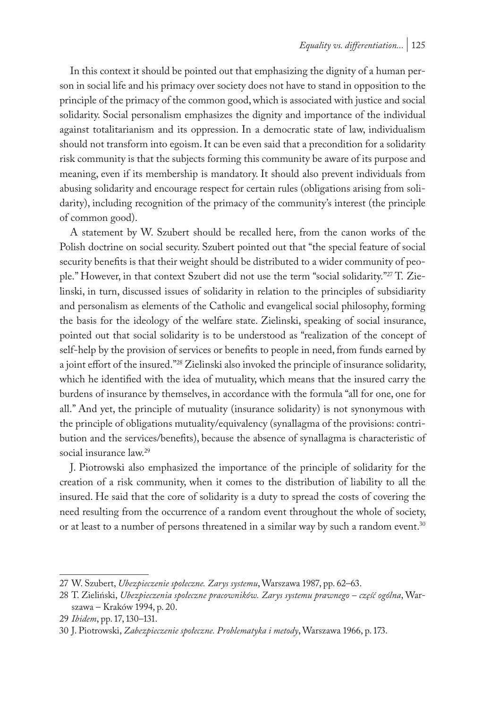In this context it should be pointed out that emphasizing the dignity of a human person in social life and his primacy over society does not have to stand in opposition to the principle of the primacy of the common good, which is associated with justice and social solidarity. Social personalism emphasizes the dignity and importance of the individual against totalitarianism and its oppression. In a democratic state of law, individualism should not transform into egoism. It can be even said that a precondition for a solidarity risk community is that the subjects forming this community be aware of its purpose and meaning, even if its membership is mandatory. It should also prevent individuals from abusing solidarity and encourage respect for certain rules (obligations arising from solidarity), including recognition of the primacy of the community's interest (the principle of common good).

A statement by W. Szubert should be recalled here, from the canon works of the Polish doctrine on social security. Szubert pointed out that "the special feature of social security benefits is that their weight should be distributed to a wider community of people." However, in that context Szubert did not use the term "social solidarity."27 T. Zielinski, in turn, discussed issues of solidarity in relation to the principles of subsidiarity and personalism as elements of the Catholic and evangelical social philosophy, forming the basis for the ideology of the welfare state. Zielinski, speaking of social insurance, pointed out that social solidarity is to be understood as "realization of the concept of self-help by the provision of services or benefits to people in need, from funds earned by a joint effort of the insured."28 Zielinski also invoked the principle of insurance solidarity, which he identified with the idea of mutuality, which means that the insured carry the burdens of insurance by themselves, in accordance with the formula "all for one, one for all." And yet, the principle of mutuality (insurance solidarity) is not synonymous with the principle of obligations mutuality/equivalency (synallagma of the provisions: contribution and the services/benefits), because the absence of synallagma is characteristic of social insurance law.<sup>29</sup>

J. Piotrowski also emphasized the importance of the principle of solidarity for the creation of a risk community, when it comes to the distribution of liability to all the insured. He said that the core of solidarity is a duty to spread the costs of covering the need resulting from the occurrence of a random event throughout the whole of society, or at least to a number of persons threatened in a similar way by such a random event.<sup>30</sup>

<sup>27</sup> W. Szubert, *Ubezpieczenie społeczne. Zarys systemu*, Warszawa 1987, pp. 62–63.

<sup>28</sup> T. Zieliński, *Ubezpieczenia społeczne pracowników. Zarys systemu prawnego – część ogólna*, Warszawa – Kraków 1994, p. 20.

<sup>29</sup> *Ibidem*, pp. 17, 130–131.

<sup>30</sup> J. Piotrowski, *Zabezpieczenie społeczne. Problematyka i metody*, Warszawa 1966, p. 173.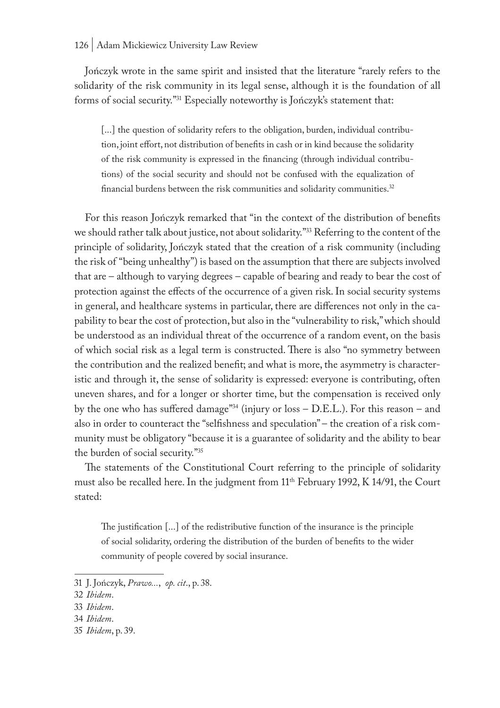#### 126 | Adam Mickiewicz University Law Review

Jończyk wrote in the same spirit and insisted that the literature "rarely refers to the solidarity of the risk community in its legal sense, although it is the foundation of all forms of social security."31 Especially noteworthy is Jończyk's statement that:

[...] the question of solidarity refers to the obligation, burden, individual contribution, joint effort, not distribution of benefits in cash or in kind because the solidarity of the risk community is expressed in the financing (through individual contributions) of the social security and should not be confused with the equalization of financial burdens between the risk communities and solidarity communities.<sup>32</sup>

For this reason Jończyk remarked that "in the context of the distribution of benefits we should rather talk about justice, not about solidarity."<sup>33</sup> Referring to the content of the principle of solidarity, Jończyk stated that the creation of a risk community (including the risk of "being unhealthy") is based on the assumption that there are subjects involved that are – although to varying degrees – capable of bearing and ready to bear the cost of protection against the effects of the occurrence of a given risk. In social security systems in general, and healthcare systems in particular, there are differences not only in the capability to bear the cost of protection, but also in the "vulnerability to risk," which should be understood as an individual threat of the occurrence of a random event, on the basis of which social risk as a legal term is constructed. There is also "no symmetry between the contribution and the realized benefit; and what is more, the asymmetry is characteristic and through it, the sense of solidarity is expressed: everyone is contributing, often uneven shares, and for a longer or shorter time, but the compensation is received only by the one who has suffered damage<sup>"34</sup> (injury or loss  $-$  D.E.L.). For this reason  $-$  and also in order to counteract the "selfishness and speculation" – the creation of a risk community must be obligatory "because it is a guarantee of solidarity and the ability to bear the burden of social security."35

The statements of the Constitutional Court referring to the principle of solidarity must also be recalled here. In the judgment from  $11<sup>th</sup>$  February 1992, K 14/91, the Court stated:

The justification [...] of the redistributive function of the insurance is the principle of social solidarity, ordering the distribution of the burden of benefits to the wider community of people covered by social insurance.

35 *Ibidem*, p. 39.

<sup>31</sup> J. Jończyk, *Prawo...*, *op. cit*., p. 38.

<sup>32</sup> *Ibidem*.

<sup>33</sup> *Ibidem*.

<sup>34</sup> *Ibidem*.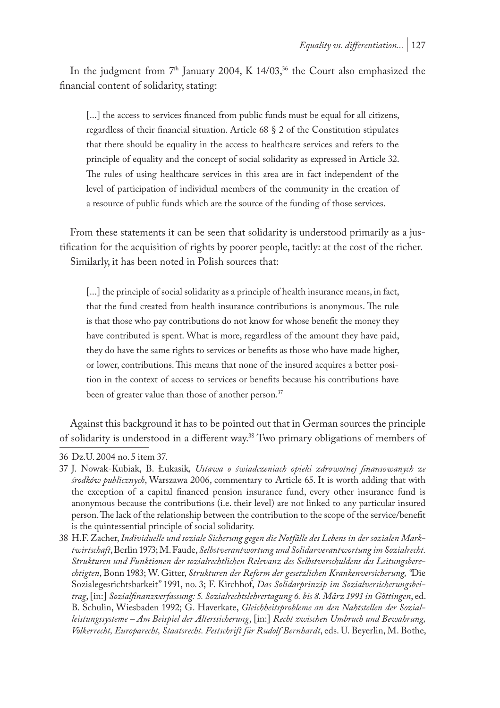In the judgment from  $7<sup>th</sup>$  January 2004, K 14/03,<sup>36</sup> the Court also emphasized the financial content of solidarity, stating:

[...] the access to services financed from public funds must be equal for all citizens, regardless of their financial situation. Article 68 § 2 of the Constitution stipulates that there should be equality in the access to healthcare services and refers to the principle of equality and the concept of social solidarity as expressed in Article 32. The rules of using healthcare services in this area are in fact independent of the level of participation of individual members of the community in the creation of a resource of public funds which are the source of the funding of those services.

From these statements it can be seen that solidarity is understood primarily as a justification for the acquisition of rights by poorer people, tacitly: at the cost of the richer. Similarly, it has been noted in Polish sources that:

[...] the principle of social solidarity as a principle of health insurance means, in fact, that the fund created from health insurance contributions is anonymous. The rule is that those who pay contributions do not know for whose benefit the money they have contributed is spent. What is more, regardless of the amount they have paid, they do have the same rights to services or benefits as those who have made higher, or lower, contributions. This means that none of the insured acquires a better position in the context of access to services or benefits because his contributions have been of greater value than those of another person.<sup>37</sup>

Against this background it has to be pointed out that in German sources the principle of solidarity is understood in a different way.<sup>38</sup> Two primary obligations of members of

<sup>36</sup> Dz.U. 2004 no. 5 item 37.

<sup>37</sup> J. Nowak-Kubiak, B. Łukasik*, Ustawa o świadczeniach opieki zdrowotnej finansowanych ze środków publicznych*, Warszawa 2006, commentary to Article 65. It is worth adding that with the exception of a capital financed pension insurance fund, every other insurance fund is anonymous because the contributions (i.e. their level) are not linked to any particular insured person. The lack of the relationship between the contribution to the scope of the service/benefit is the quintessential principle of social solidarity.

<sup>38</sup> H.F. Zacher, *Individuelle und soziale Sicherung gegen die Notfälle des Lebens in der sozialen Marktwirtschaft*, Berlin 1973; M. Faude, *Selbstverantwortung und Solidarverantwortung im Sozialrecht. Strukturen und Funktionen der sozialrechtlichen Relevanz des Selbstverschuldens des Leitungsberechtigten*, Bonn 1983; W. Gitter, *Strukturen der Reform der gesetzlichen Krankenversicherung, "*Die Sozialegesrichtsbarkeit" 1991, no. 3; F. Kirchhof, *Das Solidarprinzip im Sozialversicherungsbeitrag*, [in:] *Sozialfinanzverfassung: 5. Sozialrechtslehrertagung 6. bis 8. März 1991 in Göttingen*, ed. B. Schulin, Wiesbaden 1992; G. Haverkate, *Gleichheitsprobleme an den Nahtstellen der Sozialleistungssysteme – Am Beispiel der Alterssicherung*, [in:] *Recht zwischen Umbruch und Bewahrung, Völkerrecht, Europarecht, Staatsrecht. Festschrift für Rudolf Bernhardt*, eds. U. Beyerlin, M. Bothe,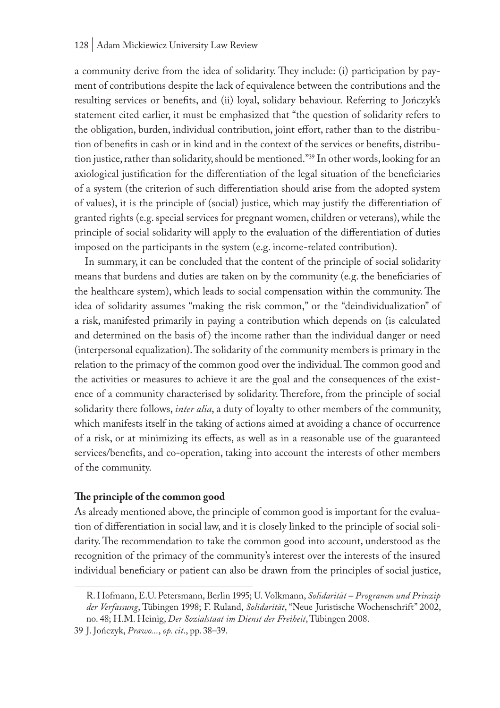#### 128 | Adam Mickiewicz University Law Review

a community derive from the idea of solidarity. They include: (i) participation by payment of contributions despite the lack of equivalence between the contributions and the resulting services or benefits, and (ii) loyal, solidary behaviour. Referring to Jończyk's statement cited earlier, it must be emphasized that "the question of solidarity refers to the obligation, burden, individual contribution, joint effort, rather than to the distribution of benefits in cash or in kind and in the context of the services or benefits, distribution justice, rather than solidarity, should be mentioned."39 In other words, looking for an axiological justification for the differentiation of the legal situation of the beneficiaries of a system (the criterion of such differentiation should arise from the adopted system of values), it is the principle of (social) justice, which may justify the differentiation of granted rights (e.g. special services for pregnant women, children or veterans), while the principle of social solidarity will apply to the evaluation of the differentiation of duties imposed on the participants in the system (e.g. income-related contribution).

In summary, it can be concluded that the content of the principle of social solidarity means that burdens and duties are taken on by the community (e.g. the beneficiaries of the healthcare system), which leads to social compensation within the community. The idea of solidarity assumes "making the risk common," or the "deindividualization" of a risk, manifested primarily in paying a contribution which depends on (is calculated and determined on the basis of ) the income rather than the individual danger or need (interpersonal equalization). The solidarity of the community members is primary in the relation to the primacy of the common good over the individual. The common good and the activities or measures to achieve it are the goal and the consequences of the existence of a community characterised by solidarity. Therefore, from the principle of social solidarity there follows, *inter alia*, a duty of loyalty to other members of the community, which manifests itself in the taking of actions aimed at avoiding a chance of occurrence of a risk, or at minimizing its effects, as well as in a reasonable use of the guaranteed services/benefits, and co-operation, taking into account the interests of other members of the community.

## **The principle of the common good**

As already mentioned above, the principle of common good is important for the evaluation of differentiation in social law, and it is closely linked to the principle of social solidarity. The recommendation to take the common good into account, understood as the recognition of the primacy of the community's interest over the interests of the insured individual beneficiary or patient can also be drawn from the principles of social justice,

R. Hofmann, E.U. Petersmann, Berlin 1995; U. Volkmann, *Solidarität – Programm und Prinzip der Verfassung*, Tübingen 1998; F. Ruland, *Solidarität*, "Neue Juristische Wochenschrift" 2002, no. 48; H.M. Heinig, *Der Sozialstaat im Dienst der Freiheit*, Tübingen 2008.

<sup>39</sup> J. Jończyk, *Prawo...*, *op. cit*., pp. 38–39.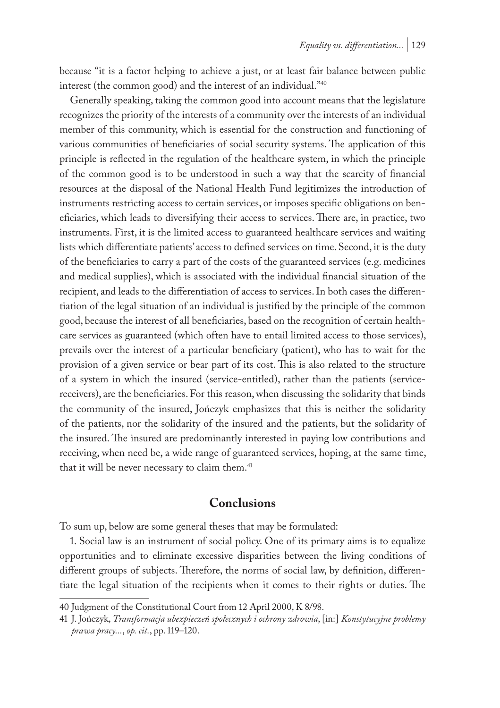because "it is a factor helping to achieve a just, or at least fair balance between public interest (the common good) and the interest of an individual."40

Generally speaking, taking the common good into account means that the legislature recognizes the priority of the interests of a community over the interests of an individual member of this community, which is essential for the construction and functioning of various communities of beneficiaries of social security systems. The application of this principle is reflected in the regulation of the healthcare system, in which the principle of the common good is to be understood in such a way that the scarcity of financial resources at the disposal of the National Health Fund legitimizes the introduction of instruments restricting access to certain services, or imposes specific obligations on beneficiaries, which leads to diversifying their access to services. There are, in practice, two instruments. First, it is the limited access to guaranteed healthcare services and waiting lists which differentiate patients' access to defined services on time. Second, it is the duty of the beneficiaries to carry a part of the costs of the guaranteed services (e.g. medicines and medical supplies), which is associated with the individual financial situation of the recipient, and leads to the differentiation of access to services. In both cases the differentiation of the legal situation of an individual is justified by the principle of the common good, because the interest of all beneficiaries, based on the recognition of certain healthcare services as guaranteed (which often have to entail limited access to those services), prevails over the interest of a particular beneficiary (patient), who has to wait for the provision of a given service or bear part of its cost. This is also related to the structure of a system in which the insured (service-entitled), rather than the patients (servicereceivers), are the beneficiaries. For this reason, when discussing the solidarity that binds the community of the insured, Jończyk emphasizes that this is neither the solidarity of the patients, nor the solidarity of the insured and the patients, but the solidarity of the insured. The insured are predominantly interested in paying low contributions and receiving, when need be, a wide range of guaranteed services, hoping, at the same time, that it will be never necessary to claim them.<sup>41</sup>

# **Conclusions**

To sum up, below are some general theses that may be formulated:

1. Social law is an instrument of social policy. One of its primary aims is to equalize opportunities and to eliminate excessive disparities between the living conditions of different groups of subjects. Therefore, the norms of social law, by definition, differentiate the legal situation of the recipients when it comes to their rights or duties. The

<sup>40</sup> Judgment of the Constitutional Court from 12 April 2000, K 8/98.

<sup>41</sup> J. Jończyk, *Transformacja ubezpieczeń społecznych i ochrony zdrowia*, [in:] *Konstytucyjne problemy prawa pracy...*, *op. cit.*, pp. 119–120.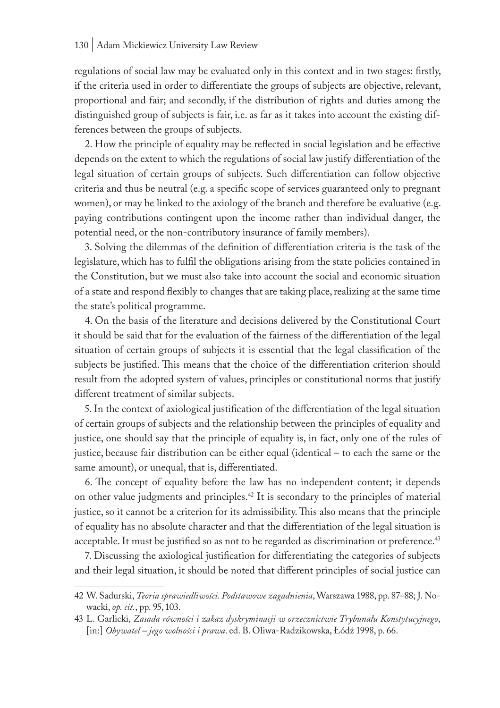regulations of social law may be evaluated only in this context and in two stages: firstly, if the criteria used in order to differentiate the groups of subjects are objective, relevant, proportional and fair; and secondly, if the distribution of rights and duties among the distinguished group of subjects is fair, i.e. as far as it takes into account the existing differences between the groups of subjects.

2. How the principle of equality may be reflected in social legislation and be effective depends on the extent to which the regulations of social law justify differentiation of the legal situation of certain groups of subjects. Such differentiation can follow objective criteria and thus be neutral (e.g. a specific scope of services guaranteed only to pregnant women), or may be linked to the axiology of the branch and therefore be evaluative (e.g. paying contributions contingent upon the income rather than individual danger, the potential need, or the non-contributory insurance of family members).

3. Solving the dilemmas of the definition of differentiation criteria is the task of the legislature, which has to fulfil the obligations arising from the state policies contained in the Constitution, but we must also take into account the social and economic situation of a state and respond flexibly to changes that are taking place, realizing at the same time the state's political programme.

4. On the basis of the literature and decisions delivered by the Constitutional Court it should be said that for the evaluation of the fairness of the differentiation of the legal situation of certain groups of subjects it is essential that the legal classification of the subjects be justified. This means that the choice of the differentiation criterion should result from the adopted system of values, principles or constitutional norms that justify different treatment of similar subjects.

5. In the context of axiological justification of the differentiation of the legal situation of certain groups of subjects and the relationship between the principles of equality and justice, one should say that the principle of equality is, in fact, only one of the rules of justice, because fair distribution can be either equal (identical – to each the same or the same amount), or unequal, that is, differentiated.

6. The concept of equality before the law has no independent content; it depends on other value judgments and principles.42 It is secondary to the principles of material justice, so it cannot be a criterion for its admissibility. This also means that the principle of equality has no absolute character and that the differentiation of the legal situation is acceptable. It must be justified so as not to be regarded as discrimination or preference.<sup>43</sup>

7. Discussing the axiological justification for differentiating the categories of subjects and their legal situation, it should be noted that different principles of social justice can

<sup>42</sup> W. Sadurski, *Teoria sprawiedliwości. Podstawowe zagadnienia*, Warszawa 1988, pp. 87–88; J. Nowacki, *op. cit.*, pp. 95, 103.

<sup>43</sup> L. Garlicki, *Zasada równości i zakaz dyskryminacji w orzecznictwie Trybunału Konstytucyjnego*, [in:] *Obywatel – jego wolności i prawa*. ed. B. Oliwa-Radzikowska, Łódź 1998, p. 66.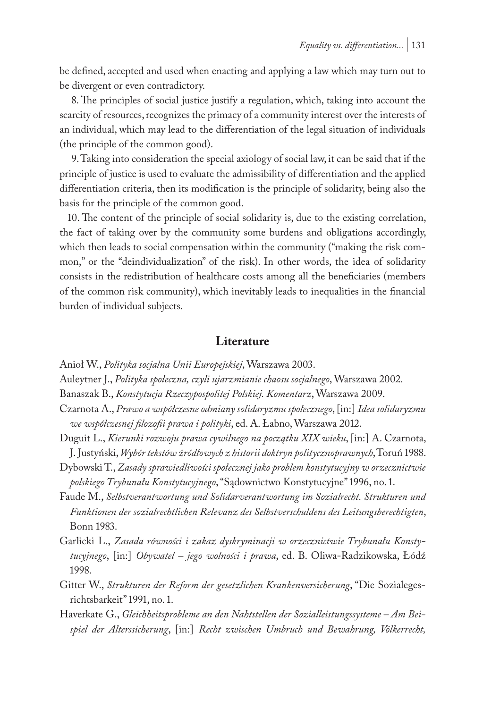be defined, accepted and used when enacting and applying a law which may turn out to be divergent or even contradictory.

8. The principles of social justice justify a regulation, which, taking into account the scarcity of resources, recognizes the primacy of a community interest over the interests of an individual, which may lead to the differentiation of the legal situation of individuals (the principle of the common good).

9. Taking into consideration the special axiology of social law, it can be said that if the principle of justice is used to evaluate the admissibility of differentiation and the applied differentiation criteria, then its modification is the principle of solidarity, being also the basis for the principle of the common good.

10. The content of the principle of social solidarity is, due to the existing correlation, the fact of taking over by the community some burdens and obligations accordingly, which then leads to social compensation within the community ("making the risk common," or the "deindividualization" of the risk). In other words, the idea of solidarity consists in the redistribution of healthcare costs among all the beneficiaries (members of the common risk community), which inevitably leads to inequalities in the financial burden of individual subjects.

## **Literature**

Anioł W., *Polityka socjalna Unii Europejskiej*, Warszawa 2003.

Auleytner J., *Polityka społeczna, czyli ujarzmianie chaosu socjalnego*, Warszawa 2002.

Banaszak B., *Konstytucja Rzeczypospolitej Polskiej. Komentarz*, Warszawa 2009.

Czarnota A., *Prawo a współczesne odmiany solidaryzmu społecznego*, [in:] *Idea solidaryzmu we współczesnej filozofii prawa i polityki*, ed. A. Łabno, Warszawa 2012.

- Duguit L., *Kierunki rozwoju prawa cywilnego na początku XIX wieku*, [in:] A. Czarnota, J. Justyński, *Wybór tekstów źródłowych z historii doktryn politycznoprawnych*, Toruń 1988.
- Dybowski T., *Zasady sprawiedliwości społecznej jako problem konstytucyjny w orzecznictwie polskiego Trybunału Konstytucyjnego*, "Sądownictwo Konstytucyjne" 1996, no. 1.
- Faude M., *Selbstverantwortung und Solidarverantwortung im Sozialrecht. Strukturen und Funktionen der sozialrechtlichen Relevanz des Selbstverschuldens des Leitungsberechtigten*, Bonn 1983.
- Garlicki L., *Zasada równości i zakaz dyskryminacji w orzecznictwie Trybunału Konstytucyjnego*, [in:] *Obywatel – jego wolności i prawa*, ed. B. Oliwa-Radzikowska, Łódź 1998.
- Gitter W., *Strukturen der Reform der gesetzlichen Krankenversicherung*, "Die Sozialegesrichtsbarkeit" 1991, no. 1.
- Haverkate G., *Gleichheitsprobleme an den Nahtstellen der Sozialleistungssysteme Am Beispiel der Alterssicherung*, [in:] *Recht zwischen Umbruch und Bewahrung, Völkerrecht,*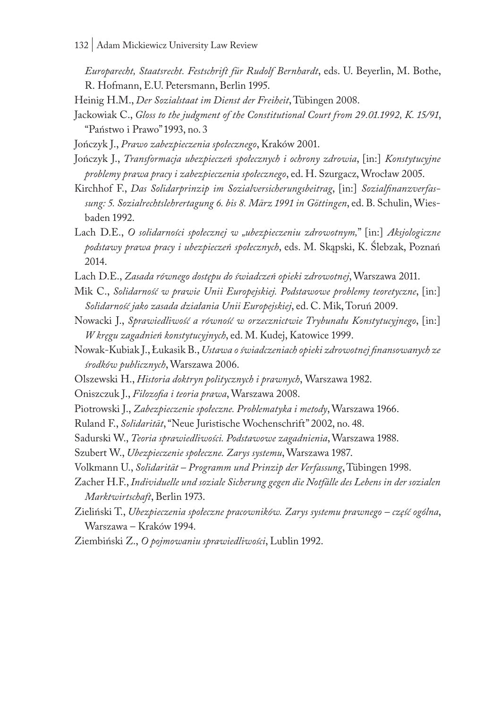*Europarecht, Staatsrecht. Festschrift für Rudolf Bernhardt*, eds. U. Beyerlin, M. Bothe, R. Hofmann, E.U. Petersmann, Berlin 1995.

Heinig H.M., *Der Sozialstaat im Dienst der Freiheit*, Tübingen 2008.

Jackowiak C., *Gloss to the judgment of the Constitutional Court from 29.01.1992, K. 15/91*, "Państwo i Prawo" 1993, no. 3

Jończyk J., *Prawo zabezpieczenia społecznego*, Kraków 2001.

- Jończyk J., *Transformacja ubezpieczeń społecznych i ochrony zdrowia*, [in:] *Konstytucyjne problemy prawa pracy i zabezpieczenia społecznego*, ed. H. Szurgacz, Wrocław 2005.
- Kirchhof F., *Das Solidarprinzip im Sozialversicherungsbeitrag*, [in:] *Sozialfinanzverfassung: 5. Sozialrechtslehrertagung 6. bis 8. März 1991 in Göttingen*, ed. B. Schulin, Wiesbaden 1992.
- Lach D.E., *O solidarności społecznej w "ubezpieczeniu zdrowotnym,*" [in:] *Aksjologiczne podstawy prawa pracy i ubezpieczeń społecznych*, eds. M. Skąpski, K. Ślebzak, Poznań 2014.
- Lach D.E., *Zasada równego dostępu do świadczeń opieki zdrowotnej*, Warszawa 2011.
- Mik C., *Solidarność w prawie Unii Europejskiej. Podstawowe problemy teoretyczne*, [in:] *Solidarność jako zasada działania Unii Europejskiej*, ed. C. Mik, Toruń 2009.
- Nowacki J., *Sprawiedliwość a równość w orzecznictwie Trybunału Konstytucyjnego*, [in:] *W kręgu zagadnień konstytucyjnych*, ed. M. Kudej, Katowice 1999.
- Nowak-Kubiak J., Łukasik B., *Ustawa o świadczeniach opieki zdrowotnej finansowanych ze środków publicznych*, Warszawa 2006.
- Olszewski H., *Historia doktryn politycznych i prawnych*, Warszawa 1982.
- Oniszczuk J., *Filozofia i teoria prawa*, Warszawa 2008.
- Piotrowski J., *Zabezpieczenie społeczne. Problematyka i metody*, Warszawa 1966.
- Ruland F., *Solidarität*, "Neue Juristische Wochenschrift" 2002, no. 48.
- Sadurski W., *Teoria sprawiedliwości. Podstawowe zagadnienia*, Warszawa 1988.
- Szubert W., *Ubezpieczenie społeczne. Zarys systemu*, Warszawa 1987.
- Volkmann U., *Solidarität Programm und Prinzip der Verfassung*, Tübingen 1998.
- Zacher H.F., *Individuelle und soziale Sicherung gegen die Notfälle des Lebens in der sozialen Marktwirtschaft*, Berlin 1973.
- Zieliński T., *Ubezpieczenia społeczne pracowników. Zarys systemu prawnego część ogólna*, Warszawa – Kraków 1994.
- Ziembiński Z., *O pojmowaniu sprawiedliwości*, Lublin 1992.